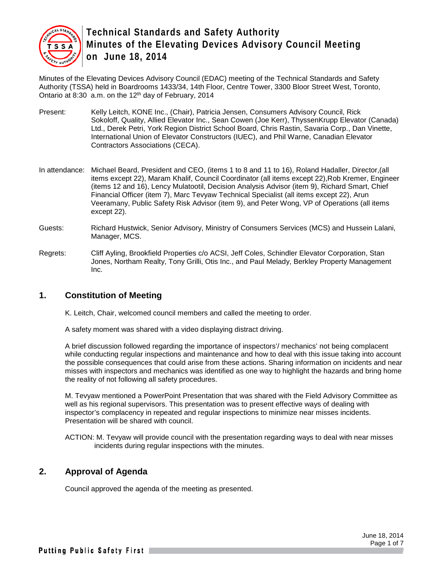

Minutes of the Elevating Devices Advisory Council (EDAC) meeting of the Technical Standards and Safety Authority (TSSA) held in Boardrooms 1433/34, 14th Floor, Centre Tower, 3300 Bloor Street West, Toronto, Ontario at 8:30 a.m. on the 12th day of February, 2014

- Present: Kelly Leitch, KONE Inc., (Chair), Patricia Jensen, Consumers Advisory Council, Rick Sokoloff, Quality, Allied Elevator Inc., Sean Cowen (Joe Kerr), ThyssenKrupp Elevator (Canada) Ltd., Derek Petri, York Region District School Board, Chris Rastin, Savaria Corp., Dan Vinette, International Union of Elevator Constructors (IUEC), and Phil Warne, Canadian Elevator Contractors Associations (CECA).
- In attendance: Michael Beard, President and CEO, (items 1 to 8 and 11 to 16), Roland Hadaller, Director,(all items except 22), Maram Khalif, Council Coordinator (all items except 22),Rob Kremer, Engineer (items 12 and 16), Lency Mulatootil, Decision Analysis Advisor (item 9), Richard Smart, Chief Financial Officer (item 7), Marc Tevyaw Technical Specialist (all items except 22), Arun Veeramany, Public Safety Risk Advisor (item 9), and Peter Wong, VP of Operations (all items except 22).
- Guests: Richard Hustwick, Senior Advisory, Ministry of Consumers Services (MCS) and Hussein Lalani, Manager, MCS.
- Regrets: Cliff Ayling, Brookfield Properties c/o ACSI, Jeff Coles, Schindler Elevator Corporation, Stan Jones, Northam Realty, Tony Grilli, Otis Inc., and Paul Melady, Berkley Property Management Inc.

## **1. Constitution of Meeting**

K. Leitch, Chair, welcomed council members and called the meeting to order.

A safety moment was shared with a video displaying distract driving.

A brief discussion followed regarding the importance of inspectors'/ mechanics' not being complacent while conducting regular inspections and maintenance and how to deal with this issue taking into account the possible consequences that could arise from these actions. Sharing information on incidents and near misses with inspectors and mechanics was identified as one way to highlight the hazards and bring home the reality of not following all safety procedures.

M. Tevyaw mentioned a PowerPoint Presentation that was shared with the Field Advisory Committee as well as his regional supervisors. This presentation was to present effective ways of dealing with inspector's complacency in repeated and regular inspections to minimize near misses incidents. Presentation will be shared with council.

ACTION: M. Tevyaw will provide council with the presentation regarding ways to deal with near misses incidents during regular inspections with the minutes.

## **2. Approval of Agenda**

Council approved the agenda of the meeting as presented.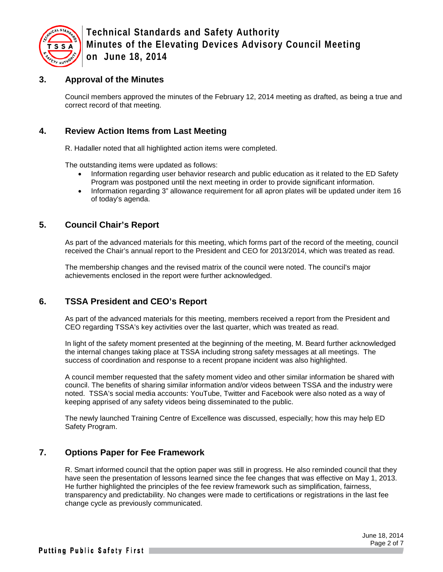

### **3. Approval of the Minutes**

Council members approved the minutes of the February 12, 2014 meeting as drafted, as being a true and correct record of that meeting.

### **4. Review Action Items from Last Meeting**

R. Hadaller noted that all highlighted action items were completed.

The outstanding items were updated as follows:

- Information regarding user behavior research and public education as it related to the ED Safety Program was postponed until the next meeting in order to provide significant information.
- Information regarding 3" allowance requirement for all apron plates will be updated under item 16 of today's agenda.

## **5. Council Chair's Report**

As part of the advanced materials for this meeting, which forms part of the record of the meeting, council received the Chair's annual report to the President and CEO for 2013/2014, which was treated as read.

The membership changes and the revised matrix of the council were noted. The council's major achievements enclosed in the report were further acknowledged.

## **6. TSSA President and CEO's Report**

As part of the advanced materials for this meeting, members received a report from the President and CEO regarding TSSA's key activities over the last quarter, which was treated as read.

In light of the safety moment presented at the beginning of the meeting, M. Beard further acknowledged the internal changes taking place at TSSA including strong safety messages at all meetings. The success of coordination and response to a recent propane incident was also highlighted.

A council member requested that the safety moment video and other similar information be shared with council. The benefits of sharing similar information and/or videos between TSSA and the industry were noted. TSSA's social media accounts: YouTube, Twitter and Facebook were also noted as a way of keeping apprised of any safety videos being disseminated to the public.

The newly launched Training Centre of Excellence was discussed, especially; how this may help ED Safety Program.

#### **7. Options Paper for Fee Framework**

R. Smart informed council that the option paper was still in progress. He also reminded council that they have seen the presentation of lessons learned since the fee changes that was effective on May 1, 2013. He further highlighted the principles of the fee review framework such as simplification, fairness, transparency and predictability. No changes were made to certifications or registrations in the last fee change cycle as previously communicated.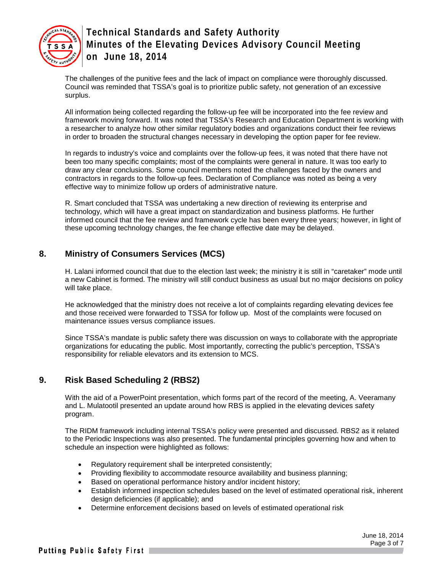

The challenges of the punitive fees and the lack of impact on compliance were thoroughly discussed. Council was reminded that TSSA's goal is to prioritize public safety, not generation of an excessive surplus.

All information being collected regarding the follow-up fee will be incorporated into the fee review and framework moving forward. It was noted that TSSA's Research and Education Department is working with a researcher to analyze how other similar regulatory bodies and organizations conduct their fee reviews in order to broaden the structural changes necessary in developing the option paper for fee review.

In regards to industry's voice and complaints over the follow-up fees, it was noted that there have not been too many specific complaints; most of the complaints were general in nature. It was too early to draw any clear conclusions. Some council members noted the challenges faced by the owners and contractors in regards to the follow-up fees. Declaration of Compliance was noted as being a very effective way to minimize follow up orders of administrative nature.

R. Smart concluded that TSSA was undertaking a new direction of reviewing its enterprise and technology, which will have a great impact on standardization and business platforms. He further informed council that the fee review and framework cycle has been every three years; however, in light of these upcoming technology changes, the fee change effective date may be delayed.

## **8. Ministry of Consumers Services (MCS)**

H. Lalani informed council that due to the election last week; the ministry it is still in "caretaker" mode until a new Cabinet is formed. The ministry will still conduct business as usual but no major decisions on policy will take place.

He acknowledged that the ministry does not receive a lot of complaints regarding elevating devices fee and those received were forwarded to TSSA for follow up. Most of the complaints were focused on maintenance issues versus compliance issues.

Since TSSA's mandate is public safety there was discussion on ways to collaborate with the appropriate organizations for educating the public. Most importantly, correcting the public's perception, TSSA's responsibility for reliable elevators and its extension to MCS.

## **9. Risk Based Scheduling 2 (RBS2)**

With the aid of a PowerPoint presentation, which forms part of the record of the meeting, A. Veeramany and L. Mulatootil presented an update around how RBS is applied in the elevating devices safety program.

The RIDM framework including internal TSSA's policy were presented and discussed. RBS2 as it related to the Periodic Inspections was also presented. The fundamental principles governing how and when to schedule an inspection were highlighted as follows:

- Regulatory requirement shall be interpreted consistently;
- Providing flexibility to accommodate resource availability and business planning;
- Based on operational performance history and/or incident history;
- Establish informed inspection schedules based on the level of estimated operational risk, inherent design deficiencies (if applicable); and
- Determine enforcement decisions based on levels of estimated operational risk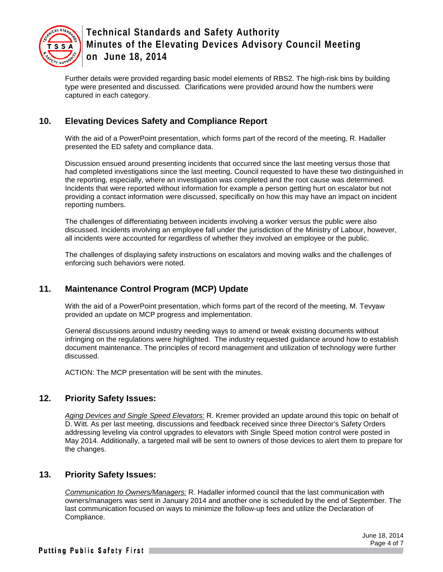

Further details were provided regarding basic model elements of RBS2. The high-risk bins by building type were presented and discussed. Clarifications were provided around how the numbers were captured in each category.

## **10. Elevating Devices Safety and Compliance Report**

With the aid of a PowerPoint presentation, which forms part of the record of the meeting, R. Hadaller presented the ED safety and compliance data.

Discussion ensued around presenting incidents that occurred since the last meeting versus those that had completed investigations since the last meeting. Council requested to have these two distinguished in the reporting, especially, where an investigation was completed and the root cause was determined. Incidents that were reported without information for example a person getting hurt on escalator but not providing a contact information were discussed, specifically on how this may have an impact on incident reporting numbers.

The challenges of differentiating between incidents involving a worker versus the public were also discussed. Incidents involving an employee fall under the jurisdiction of the Ministry of Labour, however, all incidents were accounted for regardless of whether they involved an employee or the public.

The challenges of displaying safety instructions on escalators and moving walks and the challenges of enforcing such behaviors were noted.

## **11. Maintenance Control Program (MCP) Update**

With the aid of a PowerPoint presentation, which forms part of the record of the meeting, M. Tevyaw provided an update on MCP progress and implementation.

General discussions around industry needing ways to amend or tweak existing documents without infringing on the regulations were highlighted. The industry requested guidance around how to establish document maintenance. The principles of record management and utilization of technology were further discussed.

ACTION: The MCP presentation will be sent with the minutes.

#### **12. Priority Safety Issues:**

*Aging Devices and Single Speed Elevators:* R. Kremer provided an update around this topic on behalf of D. Witt. As per last meeting, discussions and feedback received since three Director's Safety Orders addressing leveling via control upgrades to elevators with Single Speed motion control were posted in May 2014. Additionally, a targeted mail will be sent to owners of those devices to alert them to prepare for the changes.

#### **13. Priority Safety Issues:**

*Communication to Owners/Managers:* R. Hadaller informed council that the last communication with owners/managers was sent in January 2014 and another one is scheduled by the end of September. The last communication focused on ways to minimize the follow-up fees and utilize the Declaration of Compliance.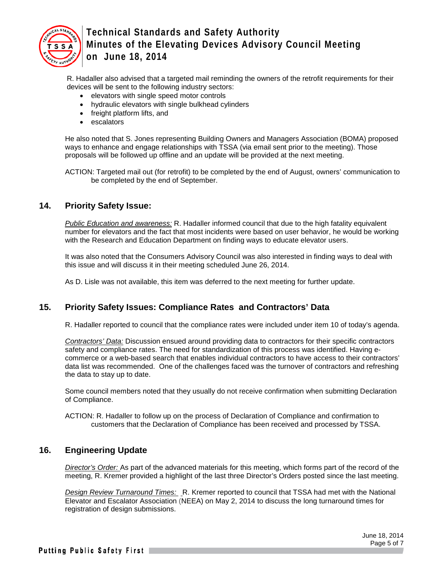

R. Hadaller also advised that a targeted mail reminding the owners of the retrofit requirements for their devices will be sent to the following industry sectors:

- elevators with single speed motor controls
- hydraulic elevators with single bulkhead cylinders
- freight platform lifts, and
- escalators

He also noted that S. Jones representing Building Owners and Managers Association (BOMA) proposed ways to enhance and engage relationships with TSSA (via email sent prior to the meeting). Those proposals will be followed up offline and an update will be provided at the next meeting.

ACTION: Targeted mail out (for retrofit) to be completed by the end of August, owners' communication to be completed by the end of September.

#### **14. Priority Safety Issue:**

*Public Education and awareness:* R. Hadaller informed council that due to the high fatality equivalent number for elevators and the fact that most incidents were based on user behavior, he would be working with the Research and Education Department on finding ways to educate elevator users.

It was also noted that the Consumers Advisory Council was also interested in finding ways to deal with this issue and will discuss it in their meeting scheduled June 26, 2014.

As D. Lisle was not available, this item was deferred to the next meeting for further update.

## **15. Priority Safety Issues: Compliance Rates and Contractors' Data**

R. Hadaller reported to council that the compliance rates were included under item 10 of today's agenda.

*Contractors' Data:* Discussion ensued around providing data to contractors for their specific contractors safety and compliance rates. The need for standardization of this process was identified. Having ecommerce or a web-based search that enables individual contractors to have access to their contractors' data list was recommended. One of the challenges faced was the turnover of contractors and refreshing the data to stay up to date.

Some council members noted that they usually do not receive confirmation when submitting Declaration of Compliance.

ACTION: R. Hadaller to follow up on the process of Declaration of Compliance and confirmation to customers that the Declaration of Compliance has been received and processed by TSSA.

## **16. Engineering Update**

*Director's Order:* As part of the advanced materials for this meeting, which forms part of the record of the meeting, R. Kremer provided a highlight of the last three Director's Orders posted since the last meeting.

*Design Review Turnaround Times:* R. Kremer reported to council that TSSA had met with the National Elevator and Escalator Association (NEEA) on May 2, 2014 to discuss the long turnaround times for registration of design submissions.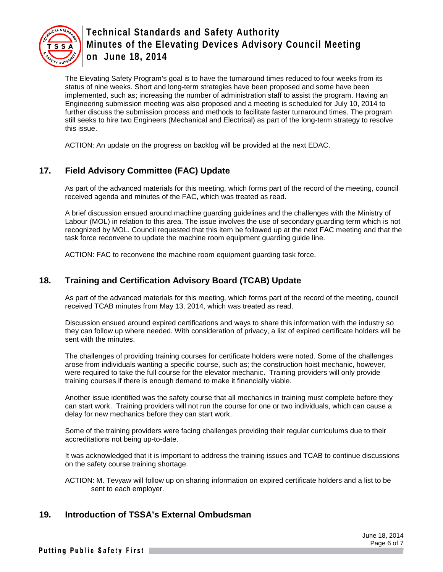

The Elevating Safety Program's goal is to have the turnaround times reduced to four weeks from its status of nine weeks. Short and long-term strategies have been proposed and some have been implemented, such as; increasing the number of administration staff to assist the program. Having an Engineering submission meeting was also proposed and a meeting is scheduled for July 10, 2014 to further discuss the submission process and methods to facilitate faster turnaround times. The program still seeks to hire two Engineers (Mechanical and Electrical) as part of the long-term strategy to resolve this issue.

ACTION: An update on the progress on backlog will be provided at the next EDAC.

## **17. Field Advisory Committee (FAC) Update**

As part of the advanced materials for this meeting, which forms part of the record of the meeting, council received agenda and minutes of the FAC, which was treated as read.

A brief discussion ensued around machine guarding guidelines and the challenges with the Ministry of Labour (MOL) in relation to this area. The issue involves the use of secondary guarding term which is not recognized by MOL. Council requested that this item be followed up at the next FAC meeting and that the task force reconvene to update the machine room equipment guarding guide line.

ACTION: FAC to reconvene the machine room equipment guarding task force.

### **18. Training and Certification Advisory Board (TCAB) Update**

As part of the advanced materials for this meeting, which forms part of the record of the meeting, council received TCAB minutes from May 13, 2014, which was treated as read.

Discussion ensued around expired certifications and ways to share this information with the industry so they can follow up where needed. With consideration of privacy, a list of expired certificate holders will be sent with the minutes.

The challenges of providing training courses for certificate holders were noted. Some of the challenges arose from individuals wanting a specific course, such as; the construction hoist mechanic, however, were required to take the full course for the elevator mechanic. Training providers will only provide training courses if there is enough demand to make it financially viable.

Another issue identified was the safety course that all mechanics in training must complete before they can start work. Training providers will not run the course for one or two individuals, which can cause a delay for new mechanics before they can start work.

Some of the training providers were facing challenges providing their regular curriculums due to their accreditations not being up-to-date.

It was acknowledged that it is important to address the training issues and TCAB to continue discussions on the safety course training shortage.

ACTION: M. Tevyaw will follow up on sharing information on expired certificate holders and a list to be sent to each employer.

## **19. Introduction of TSSA's External Ombudsman**